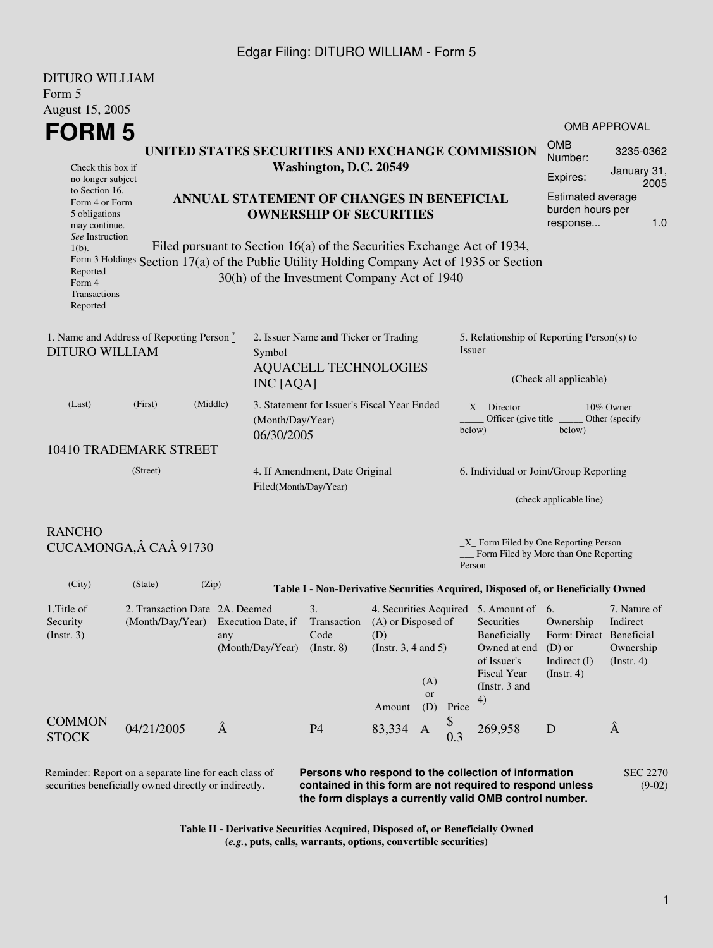#### Edgar Filing: DITURO WILLIAM - Form 5

| Form 5                                                                                                                                                                                        |                                                                                                      |                                                                         |                                                                                  |                                                                                                        |                     |                                                                                    |                                                                                        |                                                           |  |  |
|-----------------------------------------------------------------------------------------------------------------------------------------------------------------------------------------------|------------------------------------------------------------------------------------------------------|-------------------------------------------------------------------------|----------------------------------------------------------------------------------|--------------------------------------------------------------------------------------------------------|---------------------|------------------------------------------------------------------------------------|----------------------------------------------------------------------------------------|-----------------------------------------------------------|--|--|
| August 15, 2005                                                                                                                                                                               |                                                                                                      |                                                                         |                                                                                  |                                                                                                        |                     |                                                                                    |                                                                                        |                                                           |  |  |
| <b>FORM 5</b>                                                                                                                                                                                 |                                                                                                      |                                                                         |                                                                                  |                                                                                                        |                     |                                                                                    |                                                                                        | <b>OMB APPROVAL</b>                                       |  |  |
| UNITED STATES SECURITIES AND EXCHANGE COMMISSION                                                                                                                                              |                                                                                                      |                                                                         |                                                                                  |                                                                                                        |                     |                                                                                    |                                                                                        | 3235-0362                                                 |  |  |
| Check this box if<br>no longer subject                                                                                                                                                        |                                                                                                      |                                                                         | Washington, D.C. 20549                                                           | Number:<br>Expires:                                                                                    | January 31,<br>2005 |                                                                                    |                                                                                        |                                                           |  |  |
| to Section 16.<br>Form 4 or Form<br>5 obligations<br>may continue.<br>See Instruction                                                                                                         |                                                                                                      | ANNUAL STATEMENT OF CHANGES IN BENEFICIAL                               | <b>OWNERSHIP OF SECURITIES</b>                                                   | Estimated average<br>burden hours per<br>response                                                      | 1.0                 |                                                                                    |                                                                                        |                                                           |  |  |
| $1(b)$ .                                                                                                                                                                                      |                                                                                                      | Filed pursuant to Section 16(a) of the Securities Exchange Act of 1934, |                                                                                  |                                                                                                        |                     |                                                                                    |                                                                                        |                                                           |  |  |
| Form $3$ Holdings Section 17(a) of the Public Utility Holding Company Act of 1935 or Section<br>Reported<br>30(h) of the Investment Company Act of 1940<br>Form 4<br>Transactions<br>Reported |                                                                                                      |                                                                         |                                                                                  |                                                                                                        |                     |                                                                                    |                                                                                        |                                                           |  |  |
| <b>DITURO WILLIAM</b>                                                                                                                                                                         | 1. Name and Address of Reporting Person*                                                             | Symbol<br>INC [AQA]                                                     | 2. Issuer Name and Ticker or Trading<br><b>AQUACELL TECHNOLOGIES</b>             |                                                                                                        | Issuer              | 5. Relationship of Reporting Person(s) to<br>(Check all applicable)                |                                                                                        |                                                           |  |  |
|                                                                                                                                                                                               |                                                                                                      |                                                                         |                                                                                  |                                                                                                        |                     |                                                                                    |                                                                                        |                                                           |  |  |
| (Last)                                                                                                                                                                                        | (Middle)<br>3. Statement for Issuer's Fiscal Year Ended<br>(First)<br>(Month/Day/Year)<br>06/30/2005 |                                                                         |                                                                                  |                                                                                                        | below)              | $X$ Director<br>10% Owner<br>Officer (give title ________ Other (specify<br>below) |                                                                                        |                                                           |  |  |
|                                                                                                                                                                                               | 10410 TRADEMARK STREET                                                                               |                                                                         |                                                                                  |                                                                                                        |                     |                                                                                    |                                                                                        |                                                           |  |  |
|                                                                                                                                                                                               | (Street)                                                                                             |                                                                         | 4. If Amendment, Date Original<br>Filed(Month/Day/Year)                          |                                                                                                        |                     | 6. Individual or Joint/Group Reporting                                             |                                                                                        |                                                           |  |  |
|                                                                                                                                                                                               |                                                                                                      |                                                                         |                                                                                  |                                                                                                        |                     |                                                                                    |                                                                                        | (check applicable line)                                   |  |  |
| <b>RANCHO</b><br>$X$ Form Filed by One Reporting Person<br>CUCAMONGA, Â CAÂ 91730                                                                                                             |                                                                                                      |                                                                         |                                                                                  |                                                                                                        |                     |                                                                                    |                                                                                        |                                                           |  |  |
| Form Filed by More than One Reporting<br>Person                                                                                                                                               |                                                                                                      |                                                                         |                                                                                  |                                                                                                        |                     |                                                                                    |                                                                                        |                                                           |  |  |
| (City)                                                                                                                                                                                        | (State)                                                                                              | (Zip)                                                                   | Table I - Non-Derivative Securities Acquired, Disposed of, or Beneficially Owned |                                                                                                        |                     |                                                                                    |                                                                                        |                                                           |  |  |
| 1. Title of<br>Security<br>$($ Instr. 3 $)$                                                                                                                                                   | 2. Transaction Date 2A. Deemed<br>(Month/Day/Year)                                                   | Execution Date, if<br>any<br>(Month/Day/Year)                           | 3.<br>Transaction<br>Code<br>(Insert. 8)                                         | 4. Securities Acquired 5. Amount of 6.<br>(A) or Disposed of<br>(D)<br>(Instr. $3, 4$ and $5$ )<br>(A) |                     | Securities<br>Beneficially<br>Owned at end<br>of Issuer's<br>Fiscal Year           | Ownership<br>Form: Direct Beneficial<br>$(D)$ or<br>Indirect $(I)$<br>$($ Instr. 4 $)$ | 7. Nature of<br>Indirect<br>Ownership<br>$($ Instr. 4 $)$ |  |  |
| <b>COMMON</b>                                                                                                                                                                                 |                                                                                                      |                                                                         |                                                                                  | or<br>(D)<br>Amount                                                                                    | 4)<br>Price         | (Instr. 3 and                                                                      |                                                                                        |                                                           |  |  |
| <b>STOCK</b>                                                                                                                                                                                  | 04/21/2005                                                                                           | Â                                                                       | <b>P4</b>                                                                        | 83,334<br>A                                                                                            | 0.3                 | 269,958                                                                            | D                                                                                      | Â                                                         |  |  |

Reminder: Report on a separate line for each class of securities beneficially owned directly or indirectly.

DITURO WILLIAM

**Persons who respond to the collection of information contained in this form are not required to respond unless the form displays a currently valid OMB control number.** SEC 2270 (9-02)

**Table II - Derivative Securities Acquired, Disposed of, or Beneficially Owned (***e.g.***, puts, calls, warrants, options, convertible securities)**